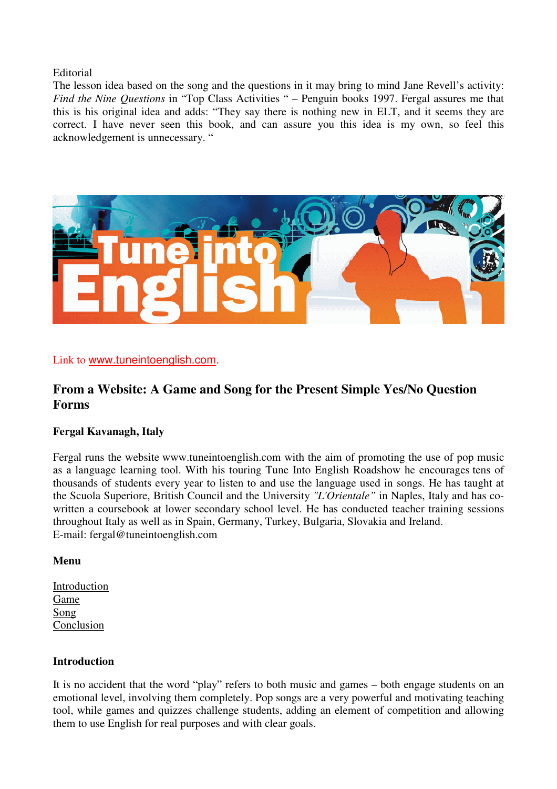### Editorial

The lesson idea based on the song and the questions in it may bring to mind Jane Revell's activity: *Find the Nine Questions* in "Top Class Activities " – Penguin books 1997. Fergal assures me that this is his original idea and adds: "They say there is nothing new in ELT, and it seems they are correct. I have never seen this book, and can assure you this idea is my own, so feel this acknowledgement is unnecessary. "



Link to www.tuneintoenglish.com.

# **From a Website: A Game and Song for the Present Simple Yes/No Question Forms**

### **Fergal Kavanagh, Italy**

Fergal runs the website www.tuneintoenglish.com with the aim of promoting the use of pop music as a language learning tool. With his touring Tune Into English Roadshow he encourages tens of thousands of students every year to listen to and use the language used in songs. He has taught at the Scuola Superiore, British Council and the University *"L'Orientale"* in Naples, Italy and has cowritten a coursebook at lower secondary school level. He has conducted teacher training sessions throughout Italy as well as in Spain, Germany, Turkey, Bulgaria, Slovakia and Ireland. E-mail: fergal@tuneintoenglish.com

#### **Menu**

Introduction Game Song Conclusion

### **Introduction**

It is no accident that the word "play" refers to both music and games – both engage students on an emotional level, involving them completely. Pop songs are a very powerful and motivating teaching tool, while games and quizzes challenge students, adding an element of competition and allowing them to use English for real purposes and with clear goals.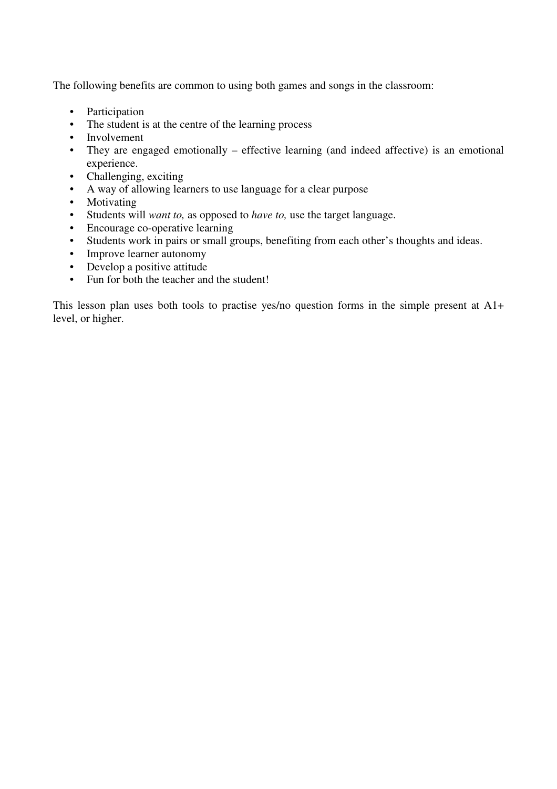The following benefits are common to using both games and songs in the classroom:

- Participation
- The student is at the centre of the learning process
- Involvement
- They are engaged emotionally effective learning (and indeed affective) is an emotional experience.
- Challenging, exciting
- A way of allowing learners to use language for a clear purpose
- Motivating
- Students will *want to,* as opposed to *have to,* use the target language.
- Encourage co-operative learning
- Students work in pairs or small groups, benefiting from each other's thoughts and ideas.
- Improve learner autonomy
- Develop a positive attitude
- Fun for both the teacher and the student!

This lesson plan uses both tools to practise yes/no question forms in the simple present at A1+ level, or higher.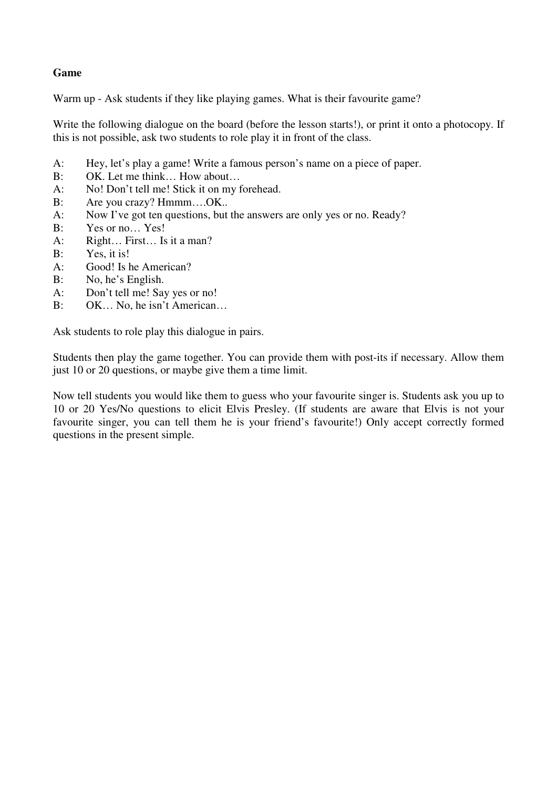## **Game**

Warm up - Ask students if they like playing games. What is their favourite game?

Write the following dialogue on the board (before the lesson starts!), or print it onto a photocopy. If this is not possible, ask two students to role play it in front of the class.

- A: Hey, let's play a game! Write a famous person's name on a piece of paper.
- B: OK. Let me think… How about…
- A: No! Don't tell me! Stick it on my forehead.
- B: Are you crazy? Hmmm....OK..
- A: Now I've got ten questions, but the answers are only yes or no. Ready?
- B: Yes or no… Yes!
- A: Right… First… Is it a man?
- B: Yes, it is!
- A: Good! Is he American?
- B: No, he's English.
- A: Don't tell me! Say yes or no!
- B: OK... No, he isn't American...

Ask students to role play this dialogue in pairs.

Students then play the game together. You can provide them with post-its if necessary. Allow them just 10 or 20 questions, or maybe give them a time limit.

Now tell students you would like them to guess who your favourite singer is. Students ask you up to 10 or 20 Yes/No questions to elicit Elvis Presley. (If students are aware that Elvis is not your favourite singer, you can tell them he is your friend's favourite!) Only accept correctly formed questions in the present simple.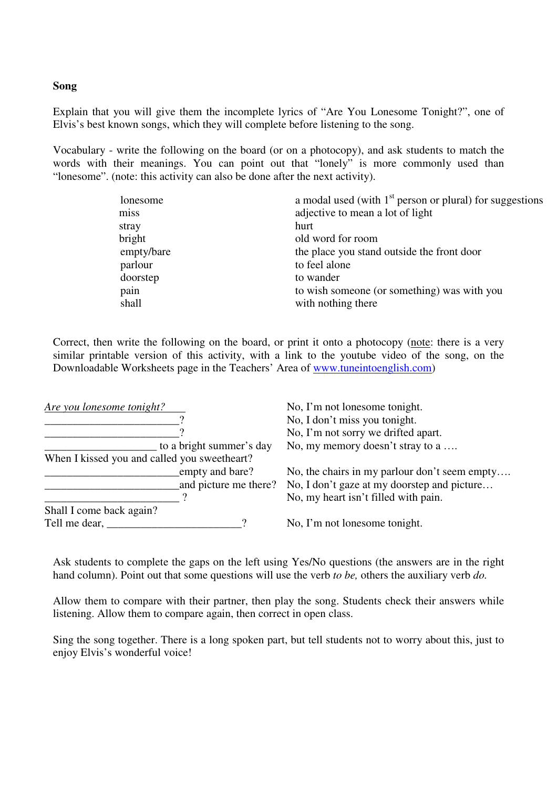#### **Song**

Explain that you will give them the incomplete lyrics of "Are You Lonesome Tonight?", one of Elvis's best known songs, which they will complete before listening to the song.

Vocabulary - write the following on the board (or on a photocopy), and ask students to match the words with their meanings. You can point out that "lonely" is more commonly used than "lonesome". (note: this activity can also be done after the next activity).

| lonesome   | a modal used (with $1st$ person or plural) for suggestions |  |
|------------|------------------------------------------------------------|--|
| miss       | adjective to mean a lot of light                           |  |
| stray      | hurt                                                       |  |
| bright     | old word for room                                          |  |
| empty/bare | the place you stand outside the front door                 |  |
| parlour    | to feel alone                                              |  |
| doorstep   | to wander                                                  |  |
| pain       | to wish someone (or something) was with you                |  |
| shall      | with nothing there                                         |  |

Correct, then write the following on the board, or print it onto a photocopy (note: there is a very similar printable version of this activity, with a link to the youtube video of the song, on the Downloadable Worksheets page in the Teachers' Area of www.tuneintoenglish.com)

| Are you lonesome tonight?                    |                          | No, I'm not lonesome tonight.                 |
|----------------------------------------------|--------------------------|-----------------------------------------------|
|                                              |                          | No, I don't miss you tonight.                 |
|                                              |                          | No, I'm not sorry we drifted apart.           |
|                                              | to a bright summer's day | No, my memory doesn't stray to a              |
| When I kissed you and called you sweetheart? |                          |                                               |
|                                              | empty and bare?          | No, the chairs in my parlour don't seem empty |
|                                              | and picture me there?    | No, I don't gaze at my doorstep and picture   |
|                                              |                          | No, my heart isn't filled with pain.          |
| Shall I come back again?                     |                          |                                               |
| Tell me dear,                                |                          | No, I'm not lonesome tonight.                 |

Ask students to complete the gaps on the left using Yes/No questions (the answers are in the right hand column). Point out that some questions will use the verb *to be,* others the auxiliary verb *do.* 

Allow them to compare with their partner, then play the song. Students check their answers while listening. Allow them to compare again, then correct in open class.

Sing the song together. There is a long spoken part, but tell students not to worry about this, just to enjoy Elvis's wonderful voice!